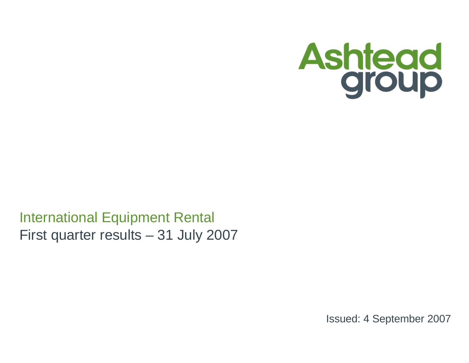

# International Equipment RentalFirst quarter results – 31 July 2007

Issued: 4 September 2007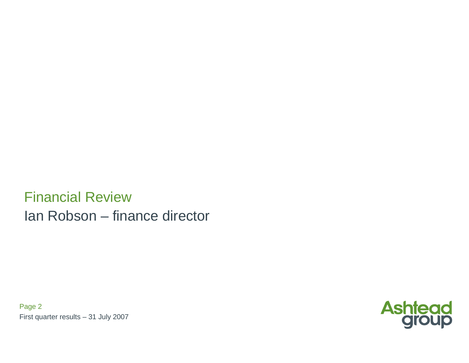Financial ReviewIan Robson – finance director

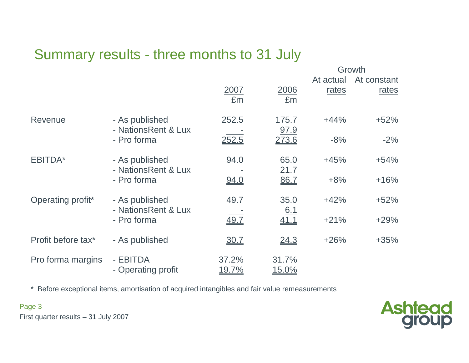# Summary results - three months to 31 July

|                    |                                       |                       |                        |                    | Growth               |
|--------------------|---------------------------------------|-----------------------|------------------------|--------------------|----------------------|
|                    |                                       | 2007<br>£m            | 2006<br>£m             | At actual<br>rates | At constant<br>rates |
| Revenue            | - As published<br>- NationsRent & Lux | 252.5                 | 175.7<br>97.9          | $+44%$             | $+52%$               |
|                    | - Pro forma                           | 252.5                 | 273.6                  | $-8%$              | $-2%$                |
| EBITDA*            | - As published                        | 94.0                  | 65.0                   | $+45%$             | $+54%$               |
|                    | - NationsRent & Lux<br>- Pro forma    | 94.0                  | 21.7<br>86.7           | $+8%$              | $+16%$               |
| Operating profit*  | - As published<br>- NationsRent & Lux | 49.7                  | 35.0<br>6.1            | $+42%$             | $+52%$               |
|                    | - Pro forma                           | 49.7                  | 41.1                   | $+21%$             | $+29%$               |
| Profit before tax* | - As published                        | <u>30.7</u>           | 24.3                   | $+26%$             | $+35%$               |
| Pro forma margins  | - EBITDA<br>- Operating profit        | 37.2%<br><u>19.7%</u> | 31.7%<br><u> 15.0%</u> |                    |                      |

\* Before exceptional items, amortisation of acquired intangibles and fair value remeasurements



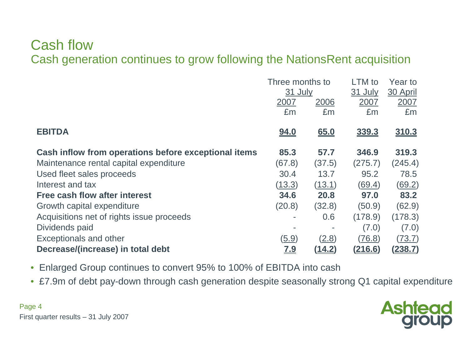#### Cash flowCash generation continues to grow following the NationsRent acquisition

|                                                      | Three months to |               | LTM to         | Year to        |
|------------------------------------------------------|-----------------|---------------|----------------|----------------|
|                                                      | 31 July         |               | 31 July        | 30 April       |
|                                                      | 2007            | 2006          | 2007           | 2007           |
|                                                      | £m              | £m            | £m             | £m             |
| <b>EBITDA</b>                                        | <u>94.0</u>     | 65.0          | <u>339.3</u>   | <u>310.3</u>   |
| Cash inflow from operations before exceptional items | 85.3            | 57.7          | 346.9          | 319.3          |
| Maintenance rental capital expenditure               | (67.8)          | (37.5)        | (275.7)        | (245.4)        |
| Used fleet sales proceeds                            | 30.4            | 13.7          | 95.2           | 78.5           |
| Interest and tax                                     | (13.3)          | (13.1)        | (69.4)         | (69.2)         |
| <b>Free cash flow after interest</b>                 | 34.6            | 20.8          | 97.0           | 83.2           |
| Growth capital expenditure                           | (20.8)          | (32.8)        | (50.9)         | (62.9)         |
| Acquisitions net of rights issue proceeds            |                 | 0.6           | (178.9)        | (178.3)        |
| Dividends paid                                       |                 |               | (7.0)          | (7.0)          |
| <b>Exceptionals and other</b>                        | (5.9)           | (2.8)         | (76.8)         | (73.7)         |
| Decrease/(increase) in total debt                    | <u>7.9</u>      | <u>(14.2)</u> | <u>(216.6)</u> | <u>(238.7)</u> |

- Enlarged Group continues to convert 95% to 100% of EBITDA into cash
- £7.9m of debt pay-down through cash generation despite seasonally strong Q1 capital expenditure

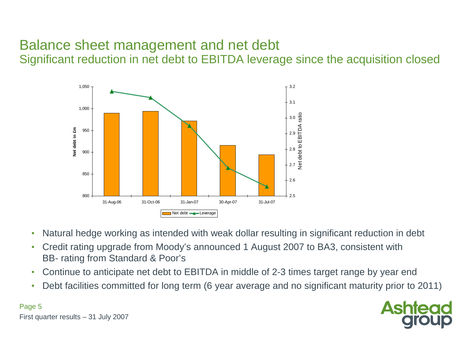# Balance sheet management and net debt

Significant reduction in net debt to EBITDA leverage since the acquisition closed



- •Natural hedge working as intended with weak dollar resulting in significant reduction in debt
- $\bullet$  Credit rating upgrade from Moody's announced 1 August 2007 to BA3, consistent withBB- rating from Standard & Poor's
- •Continue to anticipate net debt to EBITDA in middle of 2-3 times target range by year end
- Debt facilities committed for long term (6 year average and no significant maturity prior to 2011) •



First quarter results – 31 July 2007

Page 5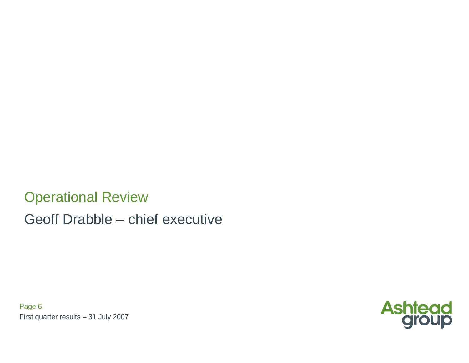Operational ReviewGeoff Drabble – chief executive

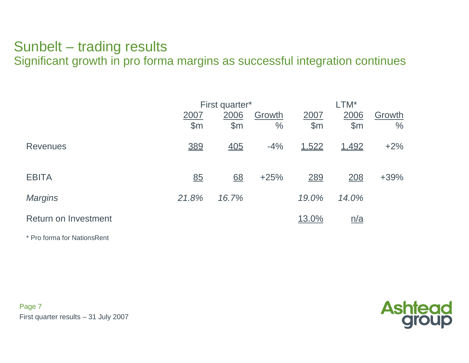#### Sunbelt – trading resultsSignificant growth in pro forma margins as successful integration continues

|                      |       | First quarter*    |        |       |            |        |
|----------------------|-------|-------------------|--------|-------|------------|--------|
|                      | 2007  | 2006              | Growth | 2007  | 2006       | Growth |
|                      | \$m   | $\mathsf{S}$ m    | $\%$   | \$m\$ | \$m        | $\%$   |
| <b>Revenues</b>      | 389   | $\underline{405}$ | $-4%$  | 1,522 | 1,492      | $+2%$  |
| <b>EBITA</b>         | 85    | $\underline{68}$  | $+25%$ | 289   | 208        | $+39%$ |
| <b>Margins</b>       | 21.8% | 16.7%             |        | 19.0% | 14.0%      |        |
| Return on Investment |       |                   |        | 13.0% | <u>n/a</u> |        |

\* Pro forma for NationsRent

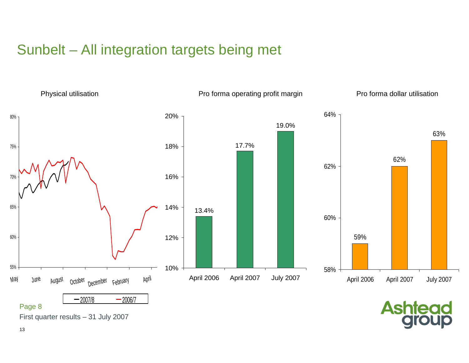# Sunbelt – All integration targets being met



13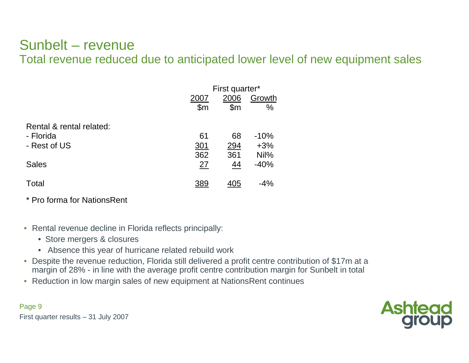#### Sunbelt – revenueTotal revenue reduced due to anticipated lower level of new equipment sales

|                          |                | First quarter* |        |  |  |  |  |
|--------------------------|----------------|----------------|--------|--|--|--|--|
|                          | 2007           | Growth         |        |  |  |  |  |
|                          | $\mathsf{S}$ m | \$m            | $\%$   |  |  |  |  |
| Rental & rental related: |                |                |        |  |  |  |  |
| - Florida                | 61             | 68             | $-10%$ |  |  |  |  |
| - Rest of US             | 301            | 294            | $+3%$  |  |  |  |  |
|                          | 362            | 361            | Nil%   |  |  |  |  |
| <b>Sales</b>             | 27             | 44             | $-40%$ |  |  |  |  |
| Total                    | 389            | 405            | $-4%$  |  |  |  |  |

\* Pro forma for NationsRent

- Rental revenue decline in Florida reflects principally:
	- Store mergers & closures
	- Absence this year of hurricane related rebuild work
- Despite the revenue reduction, Florida still delivered a profit centre contribution of \$17m at amargin of 28% - in line with the average profit centre contribution margin for Sunbelt in total
- Reduction in low margin sales of new equipment at NationsRent continues

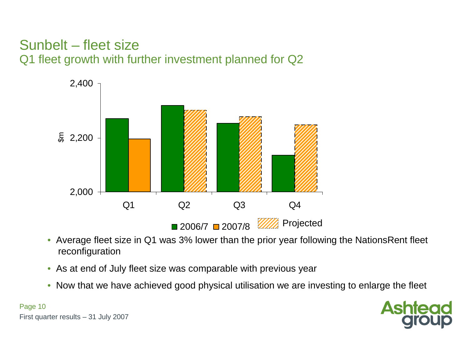#### Sunbelt – fleet sizeQ1 fleet growth with further investment planned for Q2



- Average fleet size in Q1 was 3% lower than the prior year following the NationsRent fleet reconfiguration
- As at end of July fleet size was comparable with previous year
- Now that we have achieved good physical utilisation we are investing to enlarge the fleet

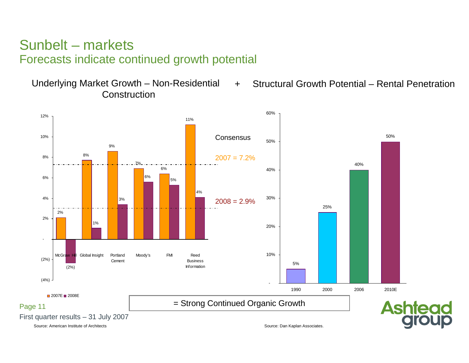#### Sunbelt – marketsForecasts indicate continued growth potential

**Construction** 

Underlying Market Growth – Non-Residential + Structural Growth Potential – Rental Penetration  $+$ 

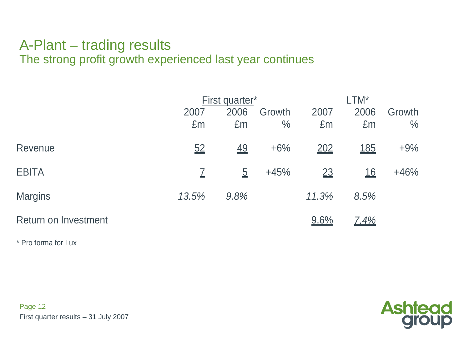#### A-Plant – trading resultsThe strong profit growth experienced last year continues

|                             |                            | First quarter*   |               |                  | $LTM^*$          |               |  |  |  |
|-----------------------------|----------------------------|------------------|---------------|------------------|------------------|---------------|--|--|--|
|                             | 2006<br>Growth<br>2007     |                  |               | 2007             | 2006             | Growth        |  |  |  |
|                             | Em                         | £m               | $\frac{0}{0}$ | £m               | £m               | $\frac{0}{0}$ |  |  |  |
| Revenue                     | 52                         | $\underline{49}$ | $+6%$         | 202              | <u>185</u>       | $+9%$         |  |  |  |
| <b>EBITA</b>                | $\overline{\underline{I}}$ | $\overline{5}$   | $+45%$        | $\underline{23}$ | $\underline{16}$ | $+46%$        |  |  |  |
| <b>Margins</b>              | 13.5%                      | 9.8%             |               | 11.3%            | 8.5%             |               |  |  |  |
| <b>Return on Investment</b> |                            |                  |               | 9.6%             | 7.4%             |               |  |  |  |

\* Pro forma for Lux

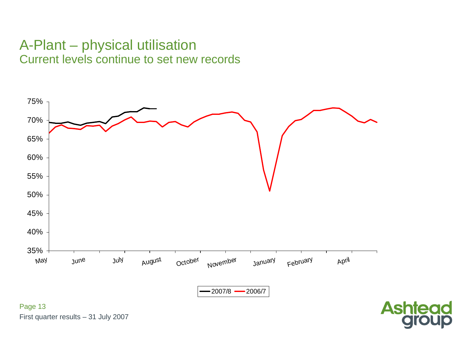#### A-Plant – physical utilisationCurrent levels continue to set new records



group

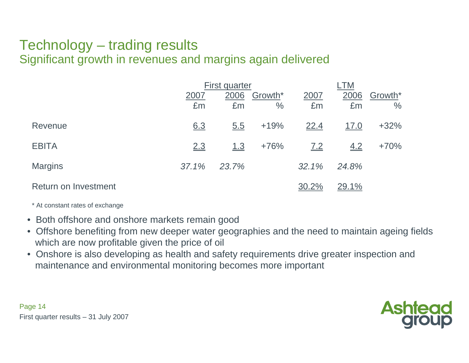#### Technology – trading resultsSignificant growth in revenues and margins again delivered

|                             |            | First quarter |                 |            | .TM          |                          |  |  |
|-----------------------------|------------|---------------|-----------------|------------|--------------|--------------------------|--|--|
|                             | 2007<br>Em | 2006<br>£m    | Growth*<br>$\%$ | 2007<br>£m | 2006<br>£m   | Growth*<br>$\frac{0}{0}$ |  |  |
| Revenue                     | 6.3        | 5.5           | $+19%$          | 22.4       | <u>17.0</u>  | $+32%$                   |  |  |
| <b>EBITA</b>                | 2.3        | 1.3           | $+76%$          | 7.2        | 4.2          | $+70%$                   |  |  |
| <b>Margins</b>              | 37.1%      | 23.7%         |                 | 32.1%      | 24.8%        |                          |  |  |
| <b>Return on Investment</b> |            |               |                 | 30.2%      | <u>29.1%</u> |                          |  |  |

\* At constant rates of exchange

- Both offshore and onshore markets remain good
- Offshore benefiting from new deeper water geographies and the need to maintain ageing fieldswhich are now profitable given the price of oil
- Onshore is also developing as health and safety requirements drive greater inspection and maintenance and environmental monitoring becomes more important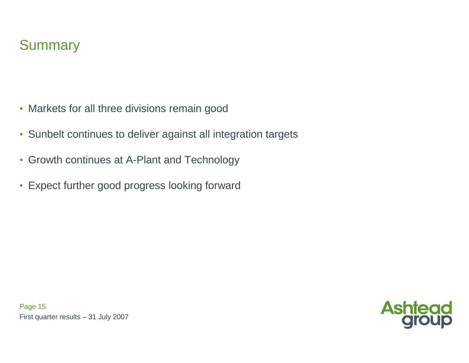

- Markets for all three divisions remain good
- Sunbelt continues to deliver against all integration targets
- Growth continues at A-Plant and Technology
- Expect further good progress looking forward

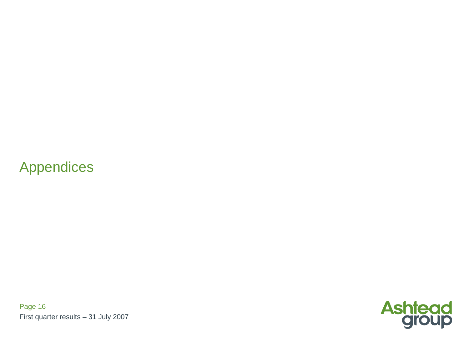### Appendices

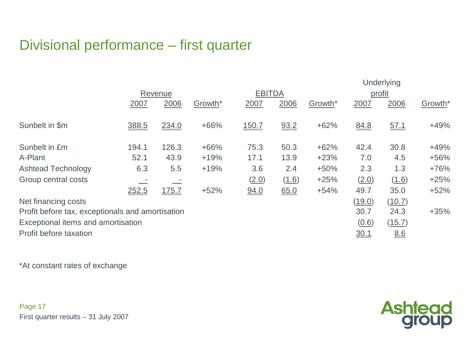# Divisional performance – first quarter

|                                                  | Underlying |       |                     |               |       |                     |             |        |                     |
|--------------------------------------------------|------------|-------|---------------------|---------------|-------|---------------------|-------------|--------|---------------------|
|                                                  | Revenue    |       |                     | <b>EBITDA</b> |       |                     | profit      |        |                     |
|                                                  | 2007       | 2006  | Growth <sup>*</sup> | 2007          | 2006  | Growth <sup>*</sup> | 2007        | 2006   | Growth <sup>*</sup> |
| Sunbelt in \$m                                   | 388.5      | 234.0 | $+66%$              | <u>150.7</u>  | 93.2  | $+62%$              | 84.8        | 57.1   | $+49%$              |
| Sunbelt in £m                                    | 194.1      | 126.3 | $+66%$              | 75.3          | 50.3  | $+62%$              | 42.4        | 30.8   | $+49%$              |
| A-Plant                                          | 52.1       | 43.9  | $+19%$              | 17.1          | 13.9  | $+23%$              | 7.0         | 4.5    | $+56%$              |
| <b>Ashtead Technology</b>                        | 6.3        | 5.5   | $+19%$              | 3.6           | 2.4   | $+50%$              | 2.3         | 1.3    | $+76%$              |
| Group central costs                              |            |       |                     | (2.0)         | (1.6) | $+25%$              | (2.0)       | (1.6)  | $+25%$              |
|                                                  | 252.5      | 175.7 | $+52%$              | 94.0          | 65.0  | $+54%$              | 49.7        | 35.0   | $+52%$              |
| Net financing costs                              |            |       |                     |               |       |                     | (19.0)      | (10.7) |                     |
| Profit before tax, exceptionals and amortisation |            |       |                     |               |       |                     | 30.7        | 24.3   | $+35%$              |
| Exceptional items and amortisation               |            |       |                     |               |       |                     | (0.6)       | (15.7) |                     |
| Profit before taxation                           |            |       |                     |               |       |                     | <u>30.1</u> | 8.6    |                     |

\*At constant rates of exchange

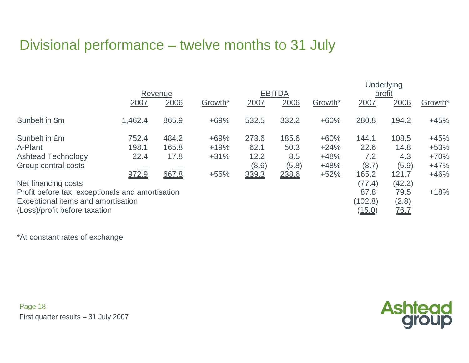# Divisional performance – twelve months to 31 July

|                                                                                                                                                                                                                                | Revenue                         |                                 |                                      |                                         | <b>EBITDA</b>                          |                                                | Underlying<br>profit                                                          |                                                                           |                                                          |
|--------------------------------------------------------------------------------------------------------------------------------------------------------------------------------------------------------------------------------|---------------------------------|---------------------------------|--------------------------------------|-----------------------------------------|----------------------------------------|------------------------------------------------|-------------------------------------------------------------------------------|---------------------------------------------------------------------------|----------------------------------------------------------|
|                                                                                                                                                                                                                                | 2007                            | 2006                            | Growth <sup>*</sup>                  | 2007                                    | 2006                                   | Growth*                                        | 2007                                                                          | 2006                                                                      | Growth <sup>*</sup>                                      |
| Sunbelt in \$m                                                                                                                                                                                                                 | 1,462.4                         | 865.9                           | $+69%$                               | 532.5                                   | 332.2                                  | $+60%$                                         | 280.8                                                                         | 194.2                                                                     | $+45%$                                                   |
| Sunbelt in £m<br>A-Plant<br><b>Ashtead Technology</b><br>Group central costs<br>Net financing costs<br>Profit before tax, exceptionals and amortisation<br>Exceptional items and amortisation<br>(Loss)/profit before taxation | 752.4<br>198.1<br>22.4<br>972.9 | 484.2<br>165.8<br>17.8<br>667.8 | $+69%$<br>$+19%$<br>$+31%$<br>$+55%$ | 273.6<br>62.1<br>12.2<br>(8.6)<br>339.3 | 185.6<br>50.3<br>8.5<br>(5.8)<br>238.6 | $+60%$<br>$+24%$<br>$+48%$<br>$+48%$<br>$+52%$ | 144.1<br>22.6<br>7.2<br>(8.7)<br>165.2<br>(77.4)<br>87.8<br>(102.8)<br>(15.0) | 108.5<br>14.8<br>4.3<br>(5.9)<br>121.7<br>(42.2)<br>79.5<br>(2.8)<br>76.7 | $+45%$<br>$+53%$<br>$+70%$<br>$+47%$<br>$+46%$<br>$+18%$ |

\*At constant rates of exchange

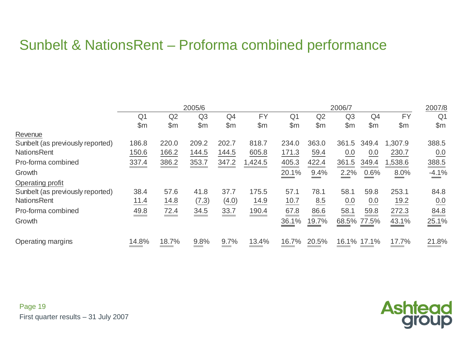# Sunbelt & NationsRent – Proforma combined performance

|                                  |                |       | 2005/6 |                |           |                |                 | 2006/7         |                |                | 2007/8         |
|----------------------------------|----------------|-------|--------|----------------|-----------|----------------|-----------------|----------------|----------------|----------------|----------------|
|                                  | Q <sub>1</sub> | Q2    | Q3     | Q <sub>4</sub> | <b>FY</b> | Q <sub>1</sub> | Q2              | Q <sub>3</sub> | Q4             | <b>FY</b>      | Q <sub>1</sub> |
|                                  | $\mathsf{Sm}$  | \$m\$ | \$m    | $\mathsf{\$m}$ | \$m       | $\mathsf{m}$   | $\mathsf{Sm}$   | \$m            | $\mathsf{S}$ m | $\mathsf{S}$ m | \$m            |
| Revenue                          |                |       |        |                |           |                |                 |                |                |                |                |
| Sunbelt (as previously reported) | 186.8          | 220.0 | 209.2  | 202.7          | 818.7     | 234.0          | 363.0           | 361<br>.5      | 349.4          | 1,307.9        | 388.5          |
| <b>NationsRent</b>               | 150.6          | 166.2 | 144.5  | 144.5          | 605.8     | 171.3          | 59.4            | 0.0            | 0.0            | 230.7          | 0.0            |
| Pro-forma combined               | 337.4          | 386.2 | 353.7  | 347.2          | 1,424.5   | 405.3          | 422.4           | 361.5          | 349.4          | 1,538.6        | 388.5          |
| Growth                           |                |       |        |                |           | 20.1%          | 9.4%            | 2.2%           | 0.6%           | 8.0%           | $-4.1%$        |
| Operating profit                 |                |       |        |                |           |                |                 |                |                |                |                |
| Sunbelt (as previously reported) | 38.4           | 57.6  | 41.8   | 37.7           | 175.5     | 57.1           | 78.1            | 58.1           | 59.8           | 253.1          | 84.8           |
| <b>NationsRent</b>               | 11.4           | 14.8  | (7.3)  | (4.0)          | 14.9      | 10.7           | 8.5             | 0.0            | 0.0            | 19.2           | 0.0            |
| Pro-forma combined               | 49.8           | 72.4  | 34.5   | 33.7           | 190.4     | 67.8           | 86.6<br>سيستبيض | 58.1           | 59.8           | 272.3          | 84.8           |
| Growth                           |                |       |        |                |           | 36.1%          | 19.7%           |                | 68.5% 77.5%    | 43.1%          | 25.1%          |
| Operating margins                | 14.8%          | 18.7% | 9.8%   | 9.7%           | 13.4%     | 16.7%          | 20.5%           |                | 16.1% 17.1%    | 17.7%          | 21.8%          |